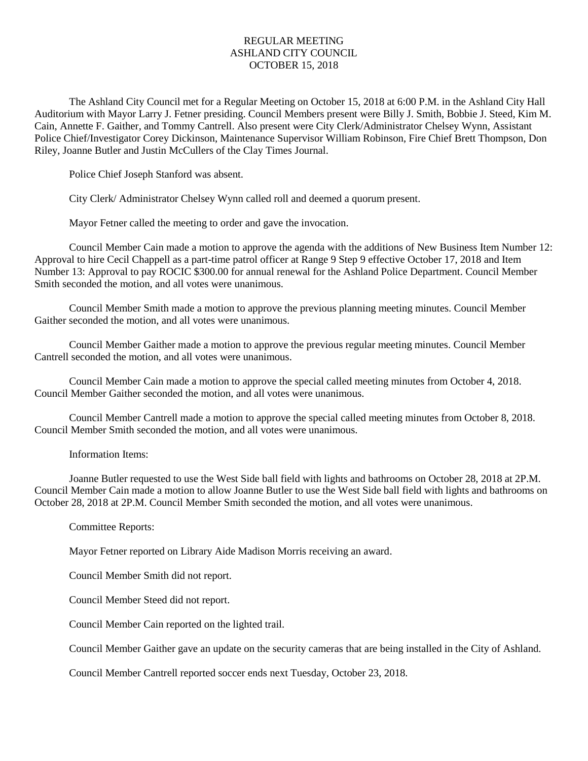## REGULAR MEETING ASHLAND CITY COUNCIL OCTOBER 15, 2018

The Ashland City Council met for a Regular Meeting on October 15, 2018 at 6:00 P.M. in the Ashland City Hall Auditorium with Mayor Larry J. Fetner presiding. Council Members present were Billy J. Smith, Bobbie J. Steed, Kim M. Cain, Annette F. Gaither, and Tommy Cantrell. Also present were City Clerk/Administrator Chelsey Wynn, Assistant Police Chief/Investigator Corey Dickinson, Maintenance Supervisor William Robinson, Fire Chief Brett Thompson, Don Riley, Joanne Butler and Justin McCullers of the Clay Times Journal.

Police Chief Joseph Stanford was absent.

City Clerk/ Administrator Chelsey Wynn called roll and deemed a quorum present.

Mayor Fetner called the meeting to order and gave the invocation.

Council Member Cain made a motion to approve the agenda with the additions of New Business Item Number 12: Approval to hire Cecil Chappell as a part-time patrol officer at Range 9 Step 9 effective October 17, 2018 and Item Number 13: Approval to pay ROCIC \$300.00 for annual renewal for the Ashland Police Department. Council Member Smith seconded the motion, and all votes were unanimous.

Council Member Smith made a motion to approve the previous planning meeting minutes. Council Member Gaither seconded the motion, and all votes were unanimous.

Council Member Gaither made a motion to approve the previous regular meeting minutes. Council Member Cantrell seconded the motion, and all votes were unanimous.

Council Member Cain made a motion to approve the special called meeting minutes from October 4, 2018. Council Member Gaither seconded the motion, and all votes were unanimous.

Council Member Cantrell made a motion to approve the special called meeting minutes from October 8, 2018. Council Member Smith seconded the motion, and all votes were unanimous.

Information Items:

Joanne Butler requested to use the West Side ball field with lights and bathrooms on October 28, 2018 at 2P.M. Council Member Cain made a motion to allow Joanne Butler to use the West Side ball field with lights and bathrooms on October 28, 2018 at 2P.M. Council Member Smith seconded the motion, and all votes were unanimous.

Committee Reports:

Mayor Fetner reported on Library Aide Madison Morris receiving an award.

Council Member Smith did not report.

Council Member Steed did not report.

Council Member Cain reported on the lighted trail.

Council Member Gaither gave an update on the security cameras that are being installed in the City of Ashland.

Council Member Cantrell reported soccer ends next Tuesday, October 23, 2018.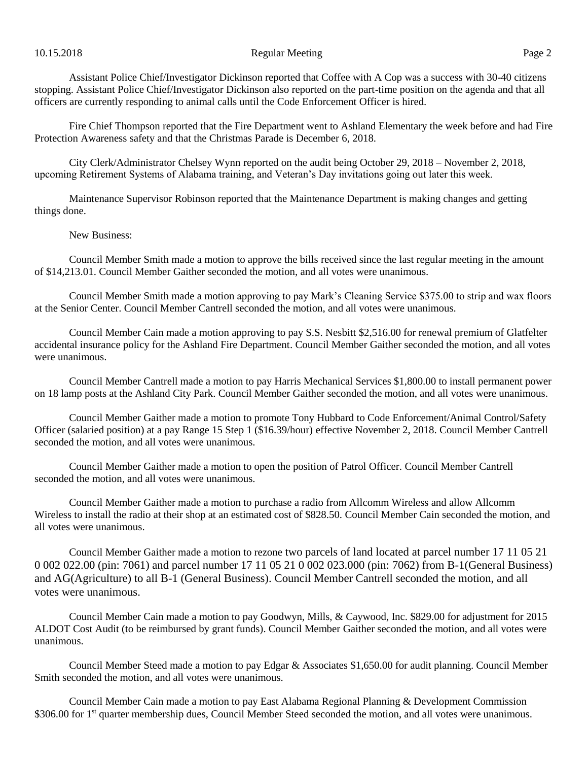## 10.15.2018 Page 2

Assistant Police Chief/Investigator Dickinson reported that Coffee with A Cop was a success with 30-40 citizens stopping. Assistant Police Chief/Investigator Dickinson also reported on the part-time position on the agenda and that all officers are currently responding to animal calls until the Code Enforcement Officer is hired.

Fire Chief Thompson reported that the Fire Department went to Ashland Elementary the week before and had Fire Protection Awareness safety and that the Christmas Parade is December 6, 2018.

City Clerk/Administrator Chelsey Wynn reported on the audit being October 29, 2018 – November 2, 2018, upcoming Retirement Systems of Alabama training, and Veteran's Day invitations going out later this week.

Maintenance Supervisor Robinson reported that the Maintenance Department is making changes and getting things done.

## New Business:

Council Member Smith made a motion to approve the bills received since the last regular meeting in the amount of \$14,213.01. Council Member Gaither seconded the motion, and all votes were unanimous.

Council Member Smith made a motion approving to pay Mark's Cleaning Service \$375.00 to strip and wax floors at the Senior Center. Council Member Cantrell seconded the motion, and all votes were unanimous.

Council Member Cain made a motion approving to pay S.S. Nesbitt \$2,516.00 for renewal premium of Glatfelter accidental insurance policy for the Ashland Fire Department. Council Member Gaither seconded the motion, and all votes were unanimous.

Council Member Cantrell made a motion to pay Harris Mechanical Services \$1,800.00 to install permanent power on 18 lamp posts at the Ashland City Park. Council Member Gaither seconded the motion, and all votes were unanimous.

Council Member Gaither made a motion to promote Tony Hubbard to Code Enforcement/Animal Control/Safety Officer (salaried position) at a pay Range 15 Step 1 (\$16.39/hour) effective November 2, 2018. Council Member Cantrell seconded the motion, and all votes were unanimous.

Council Member Gaither made a motion to open the position of Patrol Officer. Council Member Cantrell seconded the motion, and all votes were unanimous.

Council Member Gaither made a motion to purchase a radio from Allcomm Wireless and allow Allcomm Wireless to install the radio at their shop at an estimated cost of \$828.50. Council Member Cain seconded the motion, and all votes were unanimous.

Council Member Gaither made a motion to rezone two parcels of land located at parcel number 17 11 05 21 0 002 022.00 (pin: 7061) and parcel number 17 11 05 21 0 002 023.000 (pin: 7062) from B-1(General Business) and AG(Agriculture) to all B-1 (General Business). Council Member Cantrell seconded the motion, and all votes were unanimous.

Council Member Cain made a motion to pay Goodwyn, Mills, & Caywood, Inc. \$829.00 for adjustment for 2015 ALDOT Cost Audit (to be reimbursed by grant funds). Council Member Gaither seconded the motion, and all votes were unanimous.

Council Member Steed made a motion to pay Edgar & Associates \$1,650.00 for audit planning. Council Member Smith seconded the motion, and all votes were unanimous.

Council Member Cain made a motion to pay East Alabama Regional Planning & Development Commission \$306.00 for 1<sup>st</sup> quarter membership dues, Council Member Steed seconded the motion, and all votes were unanimous.